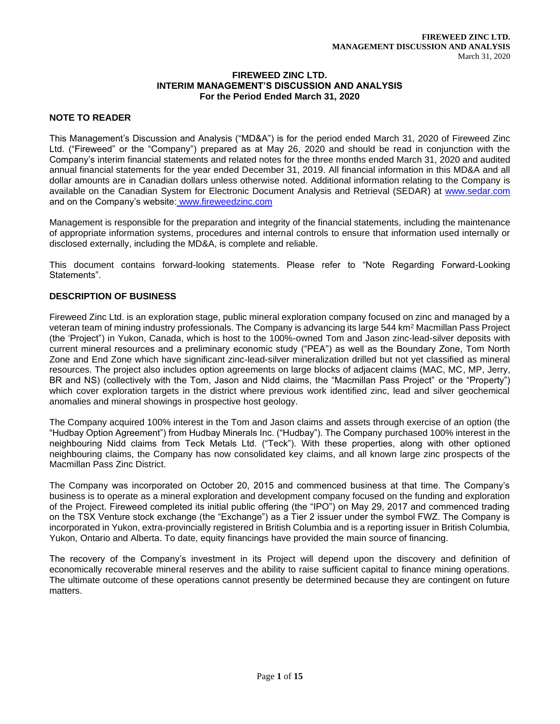#### **FIREWEED ZINC LTD. INTERIM MANAGEMENT'S DISCUSSION AND ANALYSIS For the Period Ended March 31, 2020**

# **NOTE TO READER**

This Management's Discussion and Analysis ("MD&A") is for the period ended March 31, 2020 of Fireweed Zinc Ltd. ("Fireweed" or the "Company") prepared as at May 26, 2020 and should be read in conjunction with the Company's interim financial statements and related notes for the three months ended March 31, 2020 and audited annual financial statements for the year ended December 31, 2019. All financial information in this MD&A and all dollar amounts are in Canadian dollars unless otherwise noted. Additional information relating to the Company is available on the Canadian System for Electronic Document Analysis and Retrieval (SEDAR) at [www.sedar.com](about:blank) and on the Company's website: www.fireweedzinc.com

Management is responsible for the preparation and integrity of the financial statements, including the maintenance of appropriate information systems, procedures and internal controls to ensure that information used internally or disclosed externally, including the MD&A, is complete and reliable.

This document contains forward-looking statements. Please refer to "Note Regarding Forward-Looking Statements".

## **DESCRIPTION OF BUSINESS**

Fireweed Zinc Ltd. is an exploration stage, public mineral exploration company focused on zinc and managed by a veteran team of mining industry professionals. The Company is advancing its large 544 km<sup>2</sup> Macmillan Pass Project (the 'Project") in Yukon, Canada, which is host to the 100%-owned Tom and Jason zinc-lead-silver deposits with current mineral resources and a preliminary economic study ("PEA") as well as the Boundary Zone, Tom North Zone and End Zone which have significant zinc-lead-silver mineralization drilled but not yet classified as mineral resources. The project also includes option agreements on large blocks of adjacent claims (MAC, MC, MP, Jerry, BR and NS) (collectively with the Tom, Jason and Nidd claims, the "Macmillan Pass Project" or the "Property") which cover exploration targets in the district where previous work identified zinc, lead and silver geochemical anomalies and mineral showings in prospective host geology.

The Company acquired 100% interest in the Tom and Jason claims and assets through exercise of an option (the "Hudbay Option Agreement") from Hudbay Minerals Inc. ("Hudbay"). The Company purchased 100% interest in the neighbouring Nidd claims from Teck Metals Ltd. ("Teck"). With these properties, along with other optioned neighbouring claims, the Company has now consolidated key claims, and all known large zinc prospects of the Macmillan Pass Zinc District.

The Company was incorporated on October 20, 2015 and commenced business at that time. The Company's business is to operate as a mineral exploration and development company focused on the funding and exploration of the Project. Fireweed completed its initial public offering (the "IPO") on May 29, 2017 and commenced trading on the TSX Venture stock exchange (the "Exchange") as a Tier 2 issuer under the symbol FWZ. The Company is incorporated in Yukon, extra-provincially registered in British Columbia and is a reporting issuer in British Columbia, Yukon, Ontario and Alberta. To date, equity financings have provided the main source of financing.

The recovery of the Company's investment in its Project will depend upon the discovery and definition of economically recoverable mineral reserves and the ability to raise sufficient capital to finance mining operations. The ultimate outcome of these operations cannot presently be determined because they are contingent on future matters.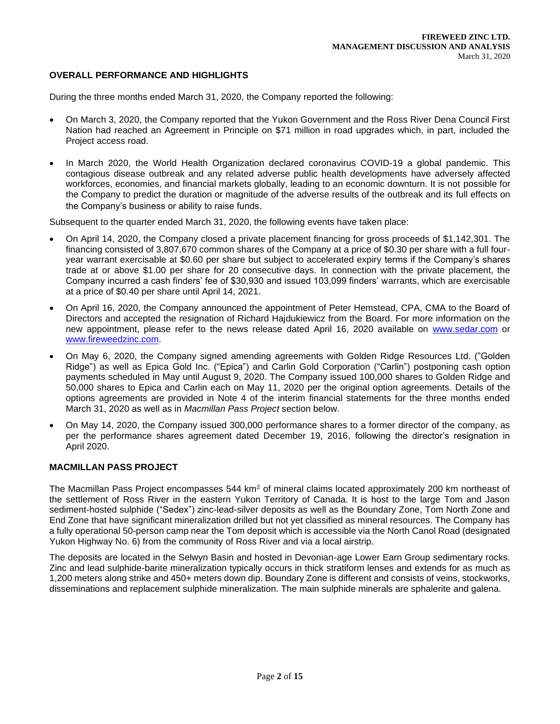## **OVERALL PERFORMANCE AND HIGHLIGHTS**

During the three months ended March 31, 2020, the Company reported the following:

- On March 3, 2020, the Company reported that the Yukon Government and the Ross River Dena Council First Nation had reached an Agreement in Principle on \$71 million in road upgrades which, in part, included the Project access road.
- In March 2020, the World Health Organization declared coronavirus COVID-19 a global pandemic. This contagious disease outbreak and any related adverse public health developments have adversely affected workforces, economies, and financial markets globally, leading to an economic downturn. It is not possible for the Company to predict the duration or magnitude of the adverse results of the outbreak and its full effects on the Company's business or ability to raise funds.

Subsequent to the quarter ended March 31, 2020, the following events have taken place:

- On April 14, 2020, the Company closed a private placement financing for gross proceeds of \$1,142,301. The financing consisted of 3,807,670 common shares of the Company at a price of \$0.30 per share with a full fouryear warrant exercisable at \$0.60 per share but subject to accelerated expiry terms if the Company's shares trade at or above \$1.00 per share for 20 consecutive days. In connection with the private placement, the Company incurred a cash finders' fee of \$30,930 and issued 103,099 finders' warrants, which are exercisable at a price of \$0.40 per share until April 14, 2021.
- On April 16, 2020, the Company announced the appointment of Peter Hemstead, CPA, CMA to the Board of Directors and accepted the resignation of Richard Hajdukiewicz from the Board. For more information on the new appointment, please refer to the news release dated April 16, 2020 available on [www.sedar.com](about:blank) or [www.fireweedzinc.com.](about:blank)
- On May 6, 2020, the Company signed amending agreements with Golden Ridge Resources Ltd. ("Golden Ridge") as well as Epica Gold Inc. ("Epica") and Carlin Gold Corporation ("Carlin") postponing cash option payments scheduled in May until August 9, 2020. The Company issued 100,000 shares to Golden Ridge and 50,000 shares to Epica and Carlin each on May 11, 2020 per the original option agreements. Details of the options agreements are provided in Note 4 of the interim financial statements for the three months ended March 31, 2020 as well as in *Macmillan Pass Project* section below.
- On May 14, 2020, the Company issued 300,000 performance shares to a former director of the company, as per the performance shares agreement dated December 19, 2016, following the director's resignation in April 2020.

# **MACMILLAN PASS PROJECT**

The Macmillan Pass Project encompasses 544 km<sup>2</sup> of mineral claims located approximately 200 km northeast of the settlement of Ross River in the eastern Yukon Territory of Canada. It is host to the large Tom and Jason sediment-hosted sulphide ("Sedex") zinc-lead-silver deposits as well as the Boundary Zone, Tom North Zone and End Zone that have significant mineralization drilled but not yet classified as mineral resources. The Company has a fully operational 50-person camp near the Tom deposit which is accessible via the North Canol Road (designated Yukon Highway No. 6) from the community of Ross River and via a local airstrip.

The deposits are located in the Selwyn Basin and hosted in Devonian-age Lower Earn Group sedimentary rocks. Zinc and lead sulphide-barite mineralization typically occurs in thick stratiform lenses and extends for as much as 1,200 meters along strike and 450+ meters down dip. Boundary Zone is different and consists of veins, stockworks, disseminations and replacement sulphide mineralization. The main sulphide minerals are sphalerite and galena.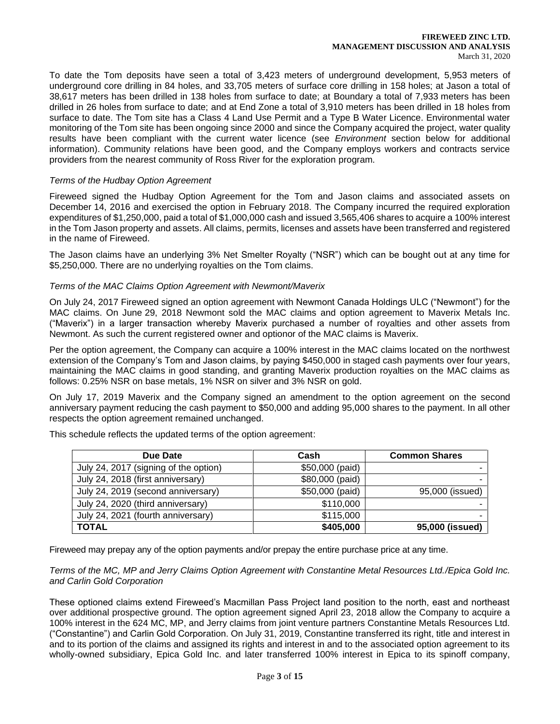#### **FIREWEED ZINC LTD. MANAGEMENT DISCUSSION AND ANALYSIS** March 31, 2020

To date the Tom deposits have seen a total of 3,423 meters of underground development, 5,953 meters of underground core drilling in 84 holes, and 33,705 meters of surface core drilling in 158 holes; at Jason a total of 38,617 meters has been drilled in 138 holes from surface to date; at Boundary a total of 7,933 meters has been drilled in 26 holes from surface to date; and at End Zone a total of 3,910 meters has been drilled in 18 holes from surface to date. The Tom site has a Class 4 Land Use Permit and a Type B Water Licence. Environmental water monitoring of the Tom site has been ongoing since 2000 and since the Company acquired the project, water quality results have been compliant with the current water licence (see *Environment* section below for additional information). Community relations have been good, and the Company employs workers and contracts service providers from the nearest community of Ross River for the exploration program.

## *Terms of the Hudbay Option Agreement*

Fireweed signed the Hudbay Option Agreement for the Tom and Jason claims and associated assets on December 14, 2016 and exercised the option in February 2018. The Company incurred the required exploration expenditures of \$1,250,000, paid a total of \$1,000,000 cash and issued 3,565,406 shares to acquire a 100% interest in the Tom Jason property and assets. All claims, permits, licenses and assets have been transferred and registered in the name of Fireweed.

The Jason claims have an underlying 3% Net Smelter Royalty ("NSR") which can be bought out at any time for \$5,250,000. There are no underlying royalties on the Tom claims.

## *Terms of the MAC Claims Option Agreement with Newmont/Maverix*

On July 24, 2017 Fireweed signed an option agreement with Newmont Canada Holdings ULC ("Newmont") for the MAC claims. On June 29, 2018 Newmont sold the MAC claims and option agreement to Maverix Metals Inc. ("Maverix") in a larger transaction whereby Maverix purchased a number of royalties and other assets from Newmont. As such the current registered owner and optionor of the MAC claims is Maverix.

Per the option agreement, the Company can acquire a 100% interest in the MAC claims located on the northwest extension of the Company's Tom and Jason claims, by paying \$450,000 in staged cash payments over four years, maintaining the MAC claims in good standing, and granting Maverix production royalties on the MAC claims as follows: 0.25% NSR on base metals, 1% NSR on silver and 3% NSR on gold.

On July 17, 2019 Maverix and the Company signed an amendment to the option agreement on the second anniversary payment reducing the cash payment to \$50,000 and adding 95,000 shares to the payment. In all other respects the option agreement remained unchanged.

| Due Date                              | Cash            | <b>Common Shares</b> |
|---------------------------------------|-----------------|----------------------|
| July 24, 2017 (signing of the option) | \$50,000 (paid) |                      |
| July 24, 2018 (first anniversary)     | \$80,000 (paid) |                      |
| July 24, 2019 (second anniversary)    | \$50,000 (paid) | 95,000 (issued)      |
| July 24, 2020 (third anniversary)     | \$110,000       |                      |
| July 24, 2021 (fourth anniversary)    | \$115,000       |                      |
| <b>TOTAL</b>                          | \$405,000       | 95,000 (issued)      |

This schedule reflects the updated terms of the option agreement:

Fireweed may prepay any of the option payments and/or prepay the entire purchase price at any time.

## *Terms of the MC, MP and Jerry Claims Option Agreement with Constantine Metal Resources Ltd./Epica Gold Inc. and Carlin Gold Corporation*

These optioned claims extend Fireweed's Macmillan Pass Project land position to the north, east and northeast over additional prospective ground. The option agreement signed April 23, 2018 allow the Company to acquire a 100% interest in the 624 MC, MP, and Jerry claims from joint venture partners Constantine Metals Resources Ltd. ("Constantine") and Carlin Gold Corporation. On July 31, 2019, Constantine transferred its right, title and interest in and to its portion of the claims and assigned its rights and interest in and to the associated option agreement to its wholly-owned subsidiary, Epica Gold Inc. and later transferred 100% interest in Epica to its spinoff company,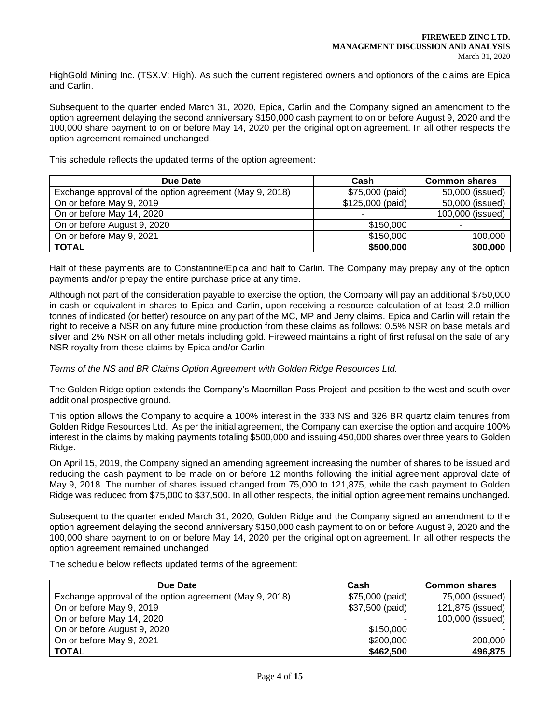HighGold Mining Inc. (TSX.V: High). As such the current registered owners and optionors of the claims are Epica and Carlin.

Subsequent to the quarter ended March 31, 2020, Epica, Carlin and the Company signed an amendment to the option agreement delaying the second anniversary \$150,000 cash payment to on or before August 9, 2020 and the 100,000 share payment to on or before May 14, 2020 per the original option agreement. In all other respects the option agreement remained unchanged.

This schedule reflects the updated terms of the option agreement:

| Due Date                                                | Cash             | <b>Common shares</b> |
|---------------------------------------------------------|------------------|----------------------|
| Exchange approval of the option agreement (May 9, 2018) | \$75,000 (paid)  | 50,000 (issued)      |
| On or before May 9, 2019                                | \$125,000 (paid) | 50,000 (issued)      |
| On or before May 14, 2020                               |                  | 100,000 (issued)     |
| On or before August 9, 2020                             | \$150,000        |                      |
| On or before May 9, 2021                                | \$150,000        | 100,000              |
| <b>TOTAL</b>                                            | \$500,000        | 300,000              |

Half of these payments are to Constantine/Epica and half to Carlin. The Company may prepay any of the option payments and/or prepay the entire purchase price at any time.

Although not part of the consideration payable to exercise the option, the Company will pay an additional \$750,000 in cash or equivalent in shares to Epica and Carlin, upon receiving a resource calculation of at least 2.0 million tonnes of indicated (or better) resource on any part of the MC, MP and Jerry claims. Epica and Carlin will retain the right to receive a NSR on any future mine production from these claims as follows: 0.5% NSR on base metals and silver and 2% NSR on all other metals including gold. Fireweed maintains a right of first refusal on the sale of any NSR royalty from these claims by Epica and/or Carlin.

*Terms of the NS and BR Claims Option Agreement with Golden Ridge Resources Ltd.*

The Golden Ridge option extends the Company's Macmillan Pass Project land position to the west and south over additional prospective ground.

This option allows the Company to acquire a 100% interest in the 333 NS and 326 BR quartz claim tenures from Golden Ridge Resources Ltd. As per the initial agreement, the Company can exercise the option and acquire 100% interest in the claims by making payments totaling \$500,000 and issuing 450,000 shares over three years to Golden Ridge.

On April 15, 2019, the Company signed an amending agreement increasing the number of shares to be issued and reducing the cash payment to be made on or before 12 months following the initial agreement approval date of May 9, 2018. The number of shares issued changed from 75,000 to 121,875, while the cash payment to Golden Ridge was reduced from \$75,000 to \$37,500. In all other respects, the initial option agreement remains unchanged.

Subsequent to the quarter ended March 31, 2020, Golden Ridge and the Company signed an amendment to the option agreement delaying the second anniversary \$150,000 cash payment to on or before August 9, 2020 and the 100,000 share payment to on or before May 14, 2020 per the original option agreement. In all other respects the option agreement remained unchanged.

The schedule below reflects updated terms of the agreement:

| Due Date                                                | Cash            | <b>Common shares</b> |
|---------------------------------------------------------|-----------------|----------------------|
| Exchange approval of the option agreement (May 9, 2018) | \$75,000 (paid) | 75,000 (issued)      |
| On or before May 9, 2019                                | \$37,500 (paid) | 121,875 (issued)     |
| On or before May 14, 2020                               |                 | 100,000 (issued)     |
| On or before August 9, 2020                             | \$150,000       |                      |
| On or before May 9, 2021                                | \$200,000       | 200,000              |
| <b>TOTAL</b>                                            | \$462,500       | 496,875              |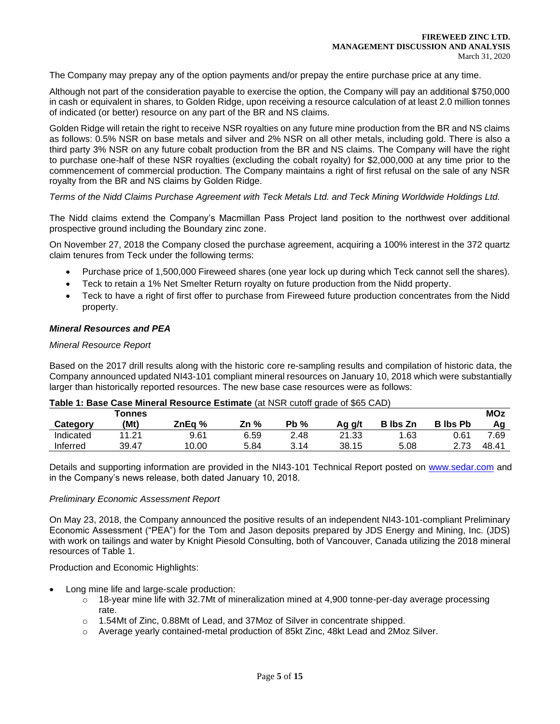The Company may prepay any of the option payments and/or prepay the entire purchase price at any time.

Although not part of the consideration payable to exercise the option, the Company will pay an additional \$750,000 in cash or equivalent in shares, to Golden Ridge, upon receiving a resource calculation of at least 2.0 million tonnes of indicated (or better) resource on any part of the BR and NS claims.

Golden Ridge will retain the right to receive NSR royalties on any future mine production from the BR and NS claims as follows: 0.5% NSR on base metals and silver and 2% NSR on all other metals, including gold. There is also a third party 3% NSR on any future cobalt production from the BR and NS claims. The Company will have the right to purchase one-half of these NSR royalties (excluding the cobalt royalty) for \$2,000,000 at any time prior to the commencement of commercial production. The Company maintains a right of first refusal on the sale of any NSR royalty from the BR and NS claims by Golden Ridge.

*Terms of the Nidd Claims Purchase Agreement with Teck Metals Ltd. and Teck Mining Worldwide Holdings Ltd.* 

The Nidd claims extend the Company's Macmillan Pass Project land position to the northwest over additional prospective ground including the Boundary zinc zone.

On November 27, 2018 the Company closed the purchase agreement, acquiring a 100% interest in the 372 quartz claim tenures from Teck under the following terms:

- Purchase price of 1,500,000 Fireweed shares (one year lock up during which Teck cannot sell the shares).
- Teck to retain a 1% Net Smelter Return royalty on future production from the Nidd property.
- Teck to have a right of first offer to purchase from Fireweed future production concentrates from the Nidd property.

## *Mineral Resources and PEA*

#### *Mineral Resource Report*

Based on the 2017 drill results along with the historic core re-sampling results and compilation of historic data, the Company announced updated NI43-101 compliant mineral resources on January 10, 2018 which were substantially larger than historically reported resources. The new base case resources were as follows:

|           | <b>Tonnes</b> |        |      |        |        |                 |                 | <b>MOz</b> |
|-----------|---------------|--------|------|--------|--------|-----------------|-----------------|------------|
| Category  | (Mt)          | ZnEa % | Zn % | $Pb\%$ | Ag g/t | <b>B</b> Ibs Zn | <b>B</b> lbs Pb | Aa         |
| Indicated | - 21<br>14    | 9.61   | 6.59 | 2.48   | 21.33  | 1.63            | 0.61            | 7.69       |
| Inferred  | 39.47         | 10.00  | 5.84 | 3.14   | 38.15  | 5.08            | 72              | 48.41      |

#### **Table 1: Base Case Mineral Resource Estimate** (at NSR cutoff grade of \$65 CAD)

Details and supporting information are provided in the NI43-101 Technical Report posted on [www.sedar.com](about:blank) and in the Company's news release, both dated January 10, 2018.

#### *Preliminary Economic Assessment Report*

On May 23, 2018, the Company announced the positive results of an independent NI43-101-compliant Preliminary Economic Assessment ("PEA") for the Tom and Jason deposits prepared by JDS Energy and Mining, Inc. (JDS) with work on tailings and water by Knight Piesold Consulting, both of Vancouver, Canada utilizing the 2018 mineral resources of Table 1.

#### Production and Economic Highlights:

- Long mine life and large-scale production:
	- $\circ$  18-year mine life with 32.7Mt of mineralization mined at 4,900 tonne-per-day average processing rate.
	- o 1.54Mt of Zinc, 0.88Mt of Lead, and 37Moz of Silver in concentrate shipped.
	- o Average yearly contained-metal production of 85kt Zinc, 48kt Lead and 2Moz Silver.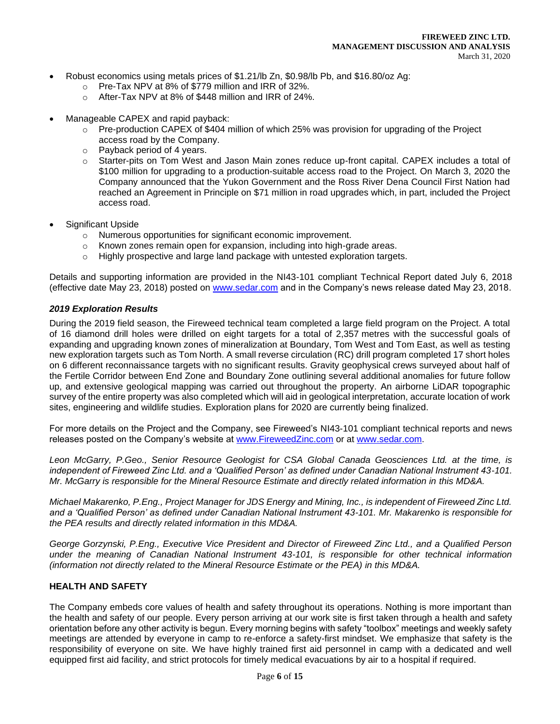- Robust economics using metals prices of \$1.21/lb Zn, \$0.98/lb Pb, and \$16.80/oz Ag:
	- o Pre-Tax NPV at 8% of \$779 million and IRR of 32%.
	- o After-Tax NPV at 8% of \$448 million and IRR of 24%.
- Manageable CAPEX and rapid payback:
	- $\circ$  Pre-production CAPEX of \$404 million of which 25% was provision for upgrading of the Project access road by the Company.
	- o Payback period of 4 years.
	- o Starter-pits on Tom West and Jason Main zones reduce up-front capital. CAPEX includes a total of \$100 million for upgrading to a production-suitable access road to the Project. On March 3, 2020 the Company announced that the Yukon Government and the Ross River Dena Council First Nation had reached an Agreement in Principle on \$71 million in road upgrades which, in part, included the Project access road.
- Significant Upside
	- o Numerous opportunities for significant economic improvement.
	- o Known zones remain open for expansion, including into high-grade areas.
	- $\circ$  Highly prospective and large land package with untested exploration targets.

Details and supporting information are provided in the NI43-101 compliant Technical Report dated July 6, 2018 (effective date May 23, 2018) posted on [www.sedar.com](about:blank) and in the Company's news release dated May 23, 2018.

## *2019 Exploration Results*

During the 2019 field season, the Fireweed technical team completed a large field program on the Project. A total of 16 diamond drill holes were drilled on eight targets for a total of 2,357 metres with the successful goals of expanding and upgrading known zones of mineralization at Boundary, Tom West and Tom East, as well as testing new exploration targets such as Tom North. A small reverse circulation (RC) drill program completed 17 short holes on 6 different reconnaissance targets with no significant results. Gravity geophysical crews surveyed about half of the Fertile Corridor between End Zone and Boundary Zone outlining several additional anomalies for future follow up, and extensive geological mapping was carried out throughout the property. An airborne LiDAR topographic survey of the entire property was also completed which will aid in geological interpretation, accurate location of work sites, engineering and wildlife studies. Exploration plans for 2020 are currently being finalized.

For more details on the Project and the Company, see Fireweed's NI43-101 compliant technical reports and news releases posted on the Company's website at [www.FireweedZinc.com](about:blank) or at [www.sedar.com.](about:blank)

*Leon McGarry, P.Geo., Senior Resource Geologist for CSA Global Canada Geosciences Ltd. at the time, is independent of Fireweed Zinc Ltd. and a 'Qualified Person' as defined under Canadian National Instrument 43-101. Mr. McGarry is responsible for the Mineral Resource Estimate and directly related information in this MD&A.* 

*Michael Makarenko, P.Eng., Project Manager for JDS Energy and Mining, Inc., is independent of Fireweed Zinc Ltd. and a 'Qualified Person' as defined under Canadian National Instrument 43-101. Mr. Makarenko is responsible for the PEA results and directly related information in this MD&A.*

*George Gorzynski, P.Eng., Executive Vice President and Director of Fireweed Zinc Ltd., and a Qualified Person under the meaning of Canadian National Instrument 43-101, is responsible for other technical information (information not directly related to the Mineral Resource Estimate or the PEA) in this MD&A.*

## **HEALTH AND SAFETY**

The Company embeds core values of health and safety throughout its operations. Nothing is more important than the health and safety of our people. Every person arriving at our work site is first taken through a health and safety orientation before any other activity is begun. Every morning begins with safety "toolbox" meetings and weekly safety meetings are attended by everyone in camp to re-enforce a safety-first mindset. We emphasize that safety is the responsibility of everyone on site. We have highly trained first aid personnel in camp with a dedicated and well equipped first aid facility, and strict protocols for timely medical evacuations by air to a hospital if required.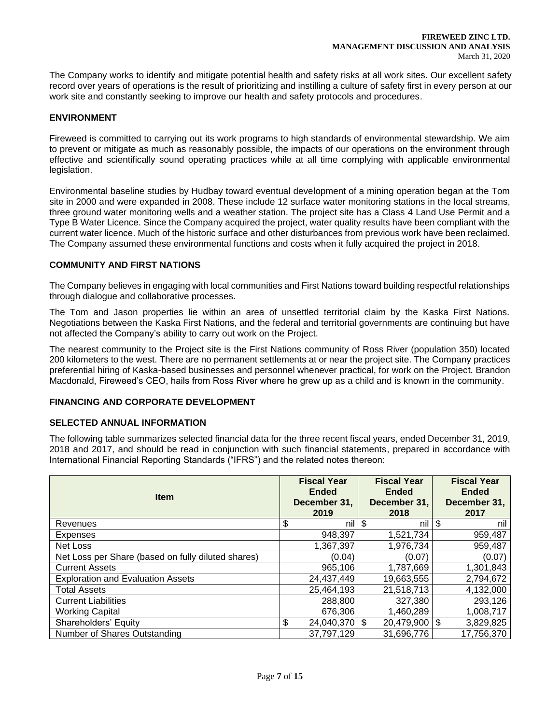The Company works to identify and mitigate potential health and safety risks at all work sites. Our excellent safety record over years of operations is the result of prioritizing and instilling a culture of safety first in every person at our work site and constantly seeking to improve our health and safety protocols and procedures.

# **ENVIRONMENT**

Fireweed is committed to carrying out its work programs to high standards of environmental stewardship. We aim to prevent or mitigate as much as reasonably possible, the impacts of our operations on the environment through effective and scientifically sound operating practices while at all time complying with applicable environmental legislation.

Environmental baseline studies by Hudbay toward eventual development of a mining operation began at the Tom site in 2000 and were expanded in 2008. These include 12 surface water monitoring stations in the local streams, three ground water monitoring wells and a weather station. The project site has a Class 4 Land Use Permit and a Type B Water Licence. Since the Company acquired the project, water quality results have been compliant with the current water licence. Much of the historic surface and other disturbances from previous work have been reclaimed. The Company assumed these environmental functions and costs when it fully acquired the project in 2018.

## **COMMUNITY AND FIRST NATIONS**

The Company believes in engaging with local communities and First Nations toward building respectful relationships through dialogue and collaborative processes.

The Tom and Jason properties lie within an area of unsettled territorial claim by the Kaska First Nations. Negotiations between the Kaska First Nations, and the federal and territorial governments are continuing but have not affected the Company's ability to carry out work on the Project.

The nearest community to the Project site is the First Nations community of Ross River (population 350) located 200 kilometers to the west. There are no permanent settlements at or near the project site. The Company practices preferential hiring of Kaska-based businesses and personnel whenever practical, for work on the Project. Brandon Macdonald, Fireweed's CEO, hails from Ross River where he grew up as a child and is known in the community.

## **FINANCING AND CORPORATE DEVELOPMENT**

## **SELECTED ANNUAL INFORMATION**

The following table summarizes selected financial data for the three recent fiscal years, ended December 31, 2019, 2018 and 2017, and should be read in conjunction with such financial statements, prepared in accordance with International Financial Reporting Standards ("IFRS") and the related notes thereon:

| <b>Item</b>                                        | <b>Fiscal Year</b><br><b>Ended</b><br>December 31,<br>2019 | <b>Fiscal Year</b><br><b>Ended</b><br>December 31,<br>2018 | <b>Fiscal Year</b><br><b>Ended</b><br>December 31,<br>2017 |
|----------------------------------------------------|------------------------------------------------------------|------------------------------------------------------------|------------------------------------------------------------|
| Revenues                                           | \$<br>nil                                                  | \$<br>nil                                                  | \$<br>nil                                                  |
| <b>Expenses</b>                                    | 948,397                                                    | 1,521,734                                                  | 959,487                                                    |
| Net Loss                                           | 1,367,397                                                  | 1,976,734                                                  | 959,487                                                    |
| Net Loss per Share (based on fully diluted shares) | (0.04)                                                     | (0.07)                                                     | (0.07)                                                     |
| <b>Current Assets</b>                              | 965,106                                                    | 1,787,669                                                  | 1,301,843                                                  |
| <b>Exploration and Evaluation Assets</b>           | 24,437,449                                                 | 19,663,555                                                 | 2,794,672                                                  |
| <b>Total Assets</b>                                | 25,464,193                                                 | 21,518,713                                                 | 4,132,000                                                  |
| <b>Current Liabilities</b>                         | 288,800                                                    | 327,380                                                    | 293,126                                                    |
| <b>Working Capital</b>                             | 676,306                                                    | 1,460,289                                                  | 1,008,717                                                  |
| Shareholders' Equity                               | \$<br>$24,040,370$ \$                                      | $20,479,900$ \$                                            | 3,829,825                                                  |
| Number of Shares Outstanding                       | 37,797,129                                                 | 31,696,776                                                 | 17,756,370                                                 |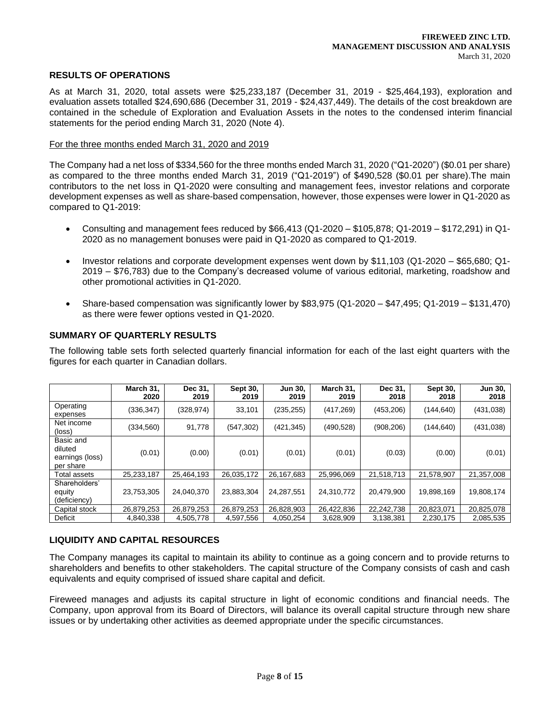## **RESULTS OF OPERATIONS**

As at March 31, 2020, total assets were \$25,233,187 (December 31, 2019 - \$25,464,193), exploration and evaluation assets totalled \$24,690,686 (December 31, 2019 - \$24,437,449). The details of the cost breakdown are contained in the schedule of Exploration and Evaluation Assets in the notes to the condensed interim financial statements for the period ending March 31, 2020 (Note 4).

#### For the three months ended March 31, 2020 and 2019

The Company had a net loss of \$334,560 for the three months ended March 31, 2020 ("Q1-2020") (\$0.01 per share) as compared to the three months ended March 31, 2019 ("Q1-2019") of \$490,528 (\$0.01 per share).The main contributors to the net loss in Q1-2020 were consulting and management fees, investor relations and corporate development expenses as well as share-based compensation, however, those expenses were lower in Q1-2020 as compared to Q1-2019:

- Consulting and management fees reduced by \$66,413 (Q1-2020 \$105,878; Q1-2019 \$172,291) in Q1- 2020 as no management bonuses were paid in Q1-2020 as compared to Q1-2019.
- Investor relations and corporate development expenses went down by \$11,103 (Q1-2020 \$65,680; Q1- 2019 – \$76,783) due to the Company's decreased volume of various editorial, marketing, roadshow and other promotional activities in Q1-2020.
- Share-based compensation was significantly lower by \$83,975 (Q1-2020 \$47,495; Q1-2019 \$131,470) as there were fewer options vested in Q1-2020.

#### **SUMMARY OF QUARTERLY RESULTS**

The following table sets forth selected quarterly financial information for each of the last eight quarters with the figures for each quarter in Canadian dollars.

|                                                      | March 31,<br>2020 | Dec 31,<br>2019 | Sept 30,<br>2019 | <b>Jun 30,</b><br>2019 | March 31,<br>2019 | Dec 31,<br>2018 | <b>Sept 30,</b><br>2018 | Jun 30,<br>2018 |
|------------------------------------------------------|-------------------|-----------------|------------------|------------------------|-------------------|-----------------|-------------------------|-----------------|
| Operating<br>expenses                                | (336, 347)        | (328, 974)      | 33,101           | (235, 255)             | (417, 269)        | (453, 206)      | (144, 640)              | (431, 038)      |
| Net income<br>(loss)                                 | (334, 560)        | 91,778          | (547, 302)       | (421, 345)             | (490, 528)        | (908, 206)      | (144,640)               | (431, 038)      |
| Basic and<br>diluted<br>earnings (loss)<br>per share | (0.01)            | (0.00)          | (0.01)           | (0.01)                 | (0.01)            | (0.03)          | (0.00)                  | (0.01)          |
| Total assets                                         | 25,233,187        | 25.464.193      | 26,035,172       | 26,167,683             | 25,996,069        | 21,518,713      | 21,578,907              | 21,357,008      |
| Shareholders'<br>equity<br>(deficiency)              | 23,753,305        | 24,040,370      | 23,883,304       | 24,287,551             | 24,310,772        | 20,479,900      | 19,898,169              | 19,808,174      |
| Capital stock                                        | 26,879,253        | 26,879,253      | 26,879,253       | 26,828,903             | 26,422,836        | 22,242,738      | 20,823,071              | 20,825,078      |
| Deficit                                              | 4,840,338         | 4,505,778       | 4,597,556        | 4,050,254              | 3,628,909         | 3,138,381       | 2,230,175               | 2,085,535       |

## **LIQUIDITY AND CAPITAL RESOURCES**

The Company manages its capital to maintain its ability to continue as a going concern and to provide returns to shareholders and benefits to other stakeholders. The capital structure of the Company consists of cash and cash equivalents and equity comprised of issued share capital and deficit.

Fireweed manages and adjusts its capital structure in light of economic conditions and financial needs. The Company, upon approval from its Board of Directors, will balance its overall capital structure through new share issues or by undertaking other activities as deemed appropriate under the specific circumstances.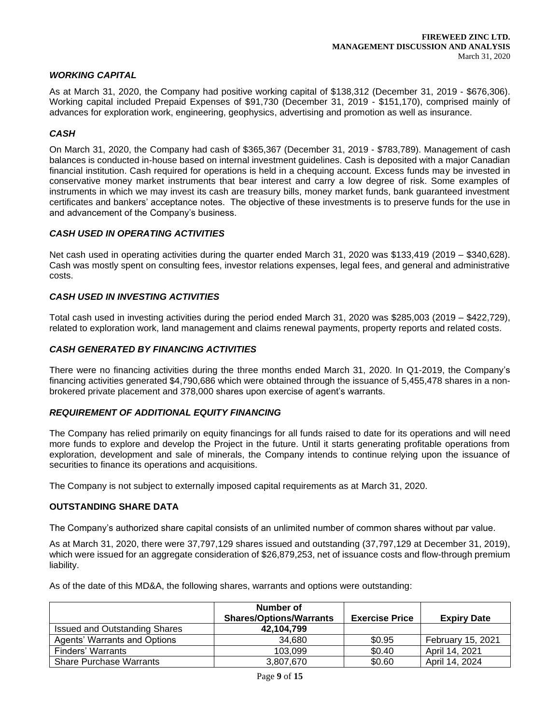# *WORKING CAPITAL*

As at March 31, 2020, the Company had positive working capital of \$138,312 (December 31, 2019 - \$676,306). Working capital included Prepaid Expenses of \$91,730 (December 31, 2019 - \$151,170), comprised mainly of advances for exploration work, engineering, geophysics, advertising and promotion as well as insurance.

## *CASH*

On March 31, 2020, the Company had cash of \$365,367 (December 31, 2019 - \$783,789). Management of cash balances is conducted in-house based on internal investment guidelines. Cash is deposited with a major Canadian financial institution. Cash required for operations is held in a chequing account. Excess funds may be invested in conservative money market instruments that bear interest and carry a low degree of risk. Some examples of instruments in which we may invest its cash are treasury bills, money market funds, bank guaranteed investment certificates and bankers' acceptance notes. The objective of these investments is to preserve funds for the use in and advancement of the Company's business.

## *CASH USED IN OPERATING ACTIVITIES*

Net cash used in operating activities during the quarter ended March 31, 2020 was \$133,419 (2019 – \$340,628). Cash was mostly spent on consulting fees, investor relations expenses, legal fees, and general and administrative costs.

## *CASH USED IN INVESTING ACTIVITIES*

Total cash used in investing activities during the period ended March 31, 2020 was \$285,003 (2019 – \$422,729), related to exploration work, land management and claims renewal payments, property reports and related costs.

## *CASH GENERATED BY FINANCING ACTIVITIES*

There were no financing activities during the three months ended March 31, 2020. In Q1-2019, the Company's financing activities generated \$4,790,686 which were obtained through the issuance of 5,455,478 shares in a nonbrokered private placement and 378,000 shares upon exercise of agent's warrants.

## *REQUIREMENT OF ADDITIONAL EQUITY FINANCING*

The Company has relied primarily on equity financings for all funds raised to date for its operations and will need more funds to explore and develop the Project in the future. Until it starts generating profitable operations from exploration, development and sale of minerals, the Company intends to continue relying upon the issuance of securities to finance its operations and acquisitions.

The Company is not subject to externally imposed capital requirements as at March 31, 2020.

## **OUTSTANDING SHARE DATA**

The Company's authorized share capital consists of an unlimited number of common shares without par value.

As at March 31, 2020, there were 37,797,129 shares issued and outstanding (37,797,129 at December 31, 2019), which were issued for an aggregate consideration of \$26,879,253, net of issuance costs and flow-through premium liability.

As of the date of this MD&A, the following shares, warrants and options were outstanding:

|                                      | Number of<br><b>Shares/Options/Warrants</b> | <b>Exercise Price</b> | <b>Expiry Date</b> |
|--------------------------------------|---------------------------------------------|-----------------------|--------------------|
| <b>Issued and Outstanding Shares</b> | 42.104.799                                  |                       |                    |
| <b>Agents' Warrants and Options</b>  | 34.680                                      | \$0.95                | February 15, 2021  |
| Finders' Warrants                    | 103.099                                     | \$0.40                | April 14, 2021     |
| <b>Share Purchase Warrants</b>       | 3,807,670                                   | \$0.60                | April 14, 2024     |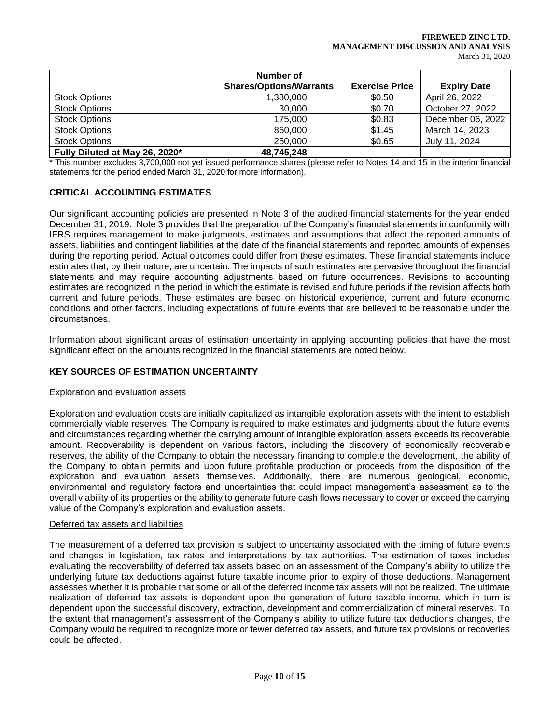|                                | Number of<br><b>Shares/Options/Warrants</b> | <b>Exercise Price</b> | <b>Expiry Date</b> |
|--------------------------------|---------------------------------------------|-----------------------|--------------------|
| <b>Stock Options</b>           | 1,380,000                                   | \$0.50                | April 26, 2022     |
| <b>Stock Options</b>           | 30,000                                      | \$0.70                | October 27, 2022   |
| <b>Stock Options</b>           | 175,000                                     | \$0.83                | December 06, 2022  |
| <b>Stock Options</b>           | 860,000                                     | \$1.45                | March 14, 2023     |
| <b>Stock Options</b>           | 250,000                                     | \$0.65                | July 11, 2024      |
| Fully Diluted at May 26, 2020* | 48,745,248                                  |                       |                    |

\* This number excludes 3,700,000 not yet issued performance shares (please refer to Notes 14 and 15 in the interim financial statements for the period ended March 31, 2020 for more information).

## **CRITICAL ACCOUNTING ESTIMATES**

Our significant accounting policies are presented in Note 3 of the audited financial statements for the year ended December 31, 2019. Note 3 provides that the preparation of the Company's financial statements in conformity with IFRS requires management to make judgments, estimates and assumptions that affect the reported amounts of assets, liabilities and contingent liabilities at the date of the financial statements and reported amounts of expenses during the reporting period. Actual outcomes could differ from these estimates. These financial statements include estimates that, by their nature, are uncertain. The impacts of such estimates are pervasive throughout the financial statements and may require accounting adjustments based on future occurrences. Revisions to accounting estimates are recognized in the period in which the estimate is revised and future periods if the revision affects both current and future periods. These estimates are based on historical experience, current and future economic conditions and other factors, including expectations of future events that are believed to be reasonable under the circumstances.

Information about significant areas of estimation uncertainty in applying accounting policies that have the most significant effect on the amounts recognized in the financial statements are noted below.

## **KEY SOURCES OF ESTIMATION UNCERTAINTY**

## Exploration and evaluation assets

Exploration and evaluation costs are initially capitalized as intangible exploration assets with the intent to establish commercially viable reserves. The Company is required to make estimates and judgments about the future events and circumstances regarding whether the carrying amount of intangible exploration assets exceeds its recoverable amount. Recoverability is dependent on various factors, including the discovery of economically recoverable reserves, the ability of the Company to obtain the necessary financing to complete the development, the ability of the Company to obtain permits and upon future profitable production or proceeds from the disposition of the exploration and evaluation assets themselves. Additionally, there are numerous geological, economic, environmental and regulatory factors and uncertainties that could impact management's assessment as to the overall viability of its properties or the ability to generate future cash flows necessary to cover or exceed the carrying value of the Company's exploration and evaluation assets.

#### Deferred tax assets and liabilities

The measurement of a deferred tax provision is subject to uncertainty associated with the timing of future events and changes in legislation, tax rates and interpretations by tax authorities. The estimation of taxes includes evaluating the recoverability of deferred tax assets based on an assessment of the Company's ability to utilize the underlying future tax deductions against future taxable income prior to expiry of those deductions. Management assesses whether it is probable that some or all of the deferred income tax assets will not be realized. The ultimate realization of deferred tax assets is dependent upon the generation of future taxable income, which in turn is dependent upon the successful discovery, extraction, development and commercialization of mineral reserves. To the extent that management's assessment of the Company's ability to utilize future tax deductions changes, the Company would be required to recognize more or fewer deferred tax assets, and future tax provisions or recoveries could be affected.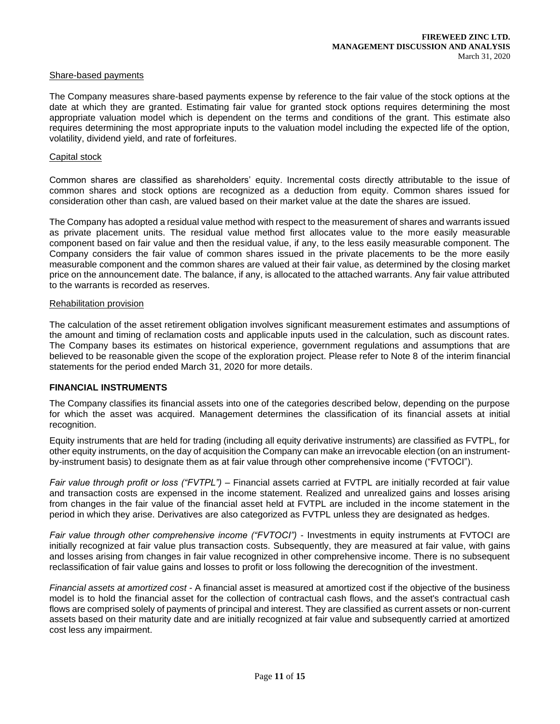#### Share-based payments

The Company measures share-based payments expense by reference to the fair value of the stock options at the date at which they are granted. Estimating fair value for granted stock options requires determining the most appropriate valuation model which is dependent on the terms and conditions of the grant. This estimate also requires determining the most appropriate inputs to the valuation model including the expected life of the option, volatility, dividend yield, and rate of forfeitures.

#### Capital stock

Common shares are classified as shareholders' equity. Incremental costs directly attributable to the issue of common shares and stock options are recognized as a deduction from equity. Common shares issued for consideration other than cash, are valued based on their market value at the date the shares are issued.

The Company has adopted a residual value method with respect to the measurement of shares and warrants issued as private placement units. The residual value method first allocates value to the more easily measurable component based on fair value and then the residual value, if any, to the less easily measurable component. The Company considers the fair value of common shares issued in the private placements to be the more easily measurable component and the common shares are valued at their fair value, as determined by the closing market price on the announcement date. The balance, if any, is allocated to the attached warrants. Any fair value attributed to the warrants is recorded as reserves.

#### Rehabilitation provision

The calculation of the asset retirement obligation involves significant measurement estimates and assumptions of the amount and timing of reclamation costs and applicable inputs used in the calculation, such as discount rates. The Company bases its estimates on historical experience, government regulations and assumptions that are believed to be reasonable given the scope of the exploration project. Please refer to Note 8 of the interim financial statements for the period ended March 31, 2020 for more details.

## **FINANCIAL INSTRUMENTS**

The Company classifies its financial assets into one of the categories described below, depending on the purpose for which the asset was acquired. Management determines the classification of its financial assets at initial recognition.

Equity instruments that are held for trading (including all equity derivative instruments) are classified as FVTPL, for other equity instruments, on the day of acquisition the Company can make an irrevocable election (on an instrumentby-instrument basis) to designate them as at fair value through other comprehensive income ("FVTOCI").

*Fair value through profit or loss ("FVTPL")* – Financial assets carried at FVTPL are initially recorded at fair value and transaction costs are expensed in the income statement. Realized and unrealized gains and losses arising from changes in the fair value of the financial asset held at FVTPL are included in the income statement in the period in which they arise. Derivatives are also categorized as FVTPL unless they are designated as hedges.

*Fair value through other comprehensive income ("FVTOCI")* - Investments in equity instruments at FVTOCI are initially recognized at fair value plus transaction costs. Subsequently, they are measured at fair value, with gains and losses arising from changes in fair value recognized in other comprehensive income. There is no subsequent reclassification of fair value gains and losses to profit or loss following the derecognition of the investment.

*Financial assets at amortized cost* - A financial asset is measured at amortized cost if the objective of the business model is to hold the financial asset for the collection of contractual cash flows, and the asset's contractual cash flows are comprised solely of payments of principal and interest. They are classified as current assets or non-current assets based on their maturity date and are initially recognized at fair value and subsequently carried at amortized cost less any impairment.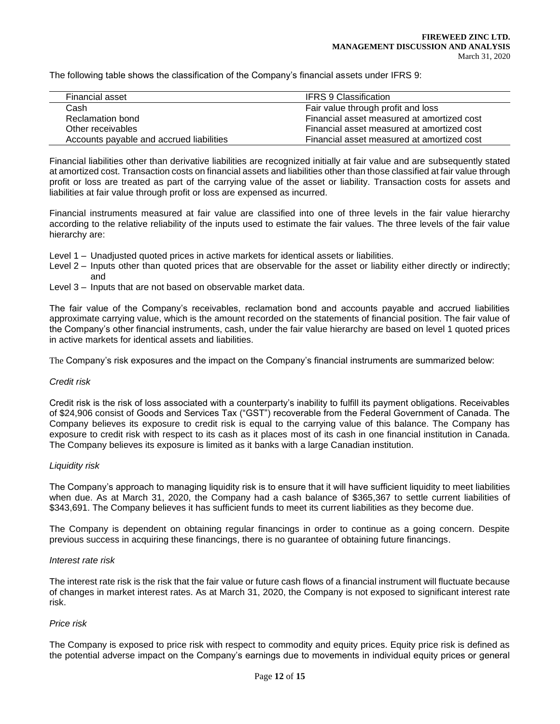The following table shows the classification of the Company's financial assets under IFRS 9:

| Financial asset                          | <b>IFRS 9 Classification</b>               |
|------------------------------------------|--------------------------------------------|
| Cash                                     | Fair value through profit and loss         |
| Reclamation bond                         | Financial asset measured at amortized cost |
| Other receivables                        | Financial asset measured at amortized cost |
| Accounts payable and accrued liabilities | Financial asset measured at amortized cost |

Financial liabilities other than derivative liabilities are recognized initially at fair value and are subsequently stated at amortized cost. Transaction costs on financial assets and liabilities other than those classified at fair value through profit or loss are treated as part of the carrying value of the asset or liability. Transaction costs for assets and liabilities at fair value through profit or loss are expensed as incurred.

Financial instruments measured at fair value are classified into one of three levels in the fair value hierarchy according to the relative reliability of the inputs used to estimate the fair values. The three levels of the fair value hierarchy are:

- Level 1 Unadjusted quoted prices in active markets for identical assets or liabilities.
- Level 2 Inputs other than quoted prices that are observable for the asset or liability either directly or indirectly; and
- Level 3 Inputs that are not based on observable market data.

The fair value of the Company's receivables, reclamation bond and accounts payable and accrued liabilities approximate carrying value, which is the amount recorded on the statements of financial position. The fair value of the Company's other financial instruments, cash, under the fair value hierarchy are based on level 1 quoted prices in active markets for identical assets and liabilities.

The Company's risk exposures and the impact on the Company's financial instruments are summarized below:

#### *Credit risk*

Credit risk is the risk of loss associated with a counterparty's inability to fulfill its payment obligations. Receivables of \$24,906 consist of Goods and Services Tax ("GST") recoverable from the Federal Government of Canada. The Company believes its exposure to credit risk is equal to the carrying value of this balance. The Company has exposure to credit risk with respect to its cash as it places most of its cash in one financial institution in Canada. The Company believes its exposure is limited as it banks with a large Canadian institution.

## *Liquidity risk*

The Company's approach to managing liquidity risk is to ensure that it will have sufficient liquidity to meet liabilities when due. As at March 31, 2020, the Company had a cash balance of \$365,367 to settle current liabilities of \$343,691. The Company believes it has sufficient funds to meet its current liabilities as they become due.

The Company is dependent on obtaining regular financings in order to continue as a going concern. Despite previous success in acquiring these financings, there is no guarantee of obtaining future financings.

#### *Interest rate risk*

The interest rate risk is the risk that the fair value or future cash flows of a financial instrument will fluctuate because of changes in market interest rates. As at March 31, 2020, the Company is not exposed to significant interest rate risk.

# *Price risk*

The Company is exposed to price risk with respect to commodity and equity prices. Equity price risk is defined as the potential adverse impact on the Company's earnings due to movements in individual equity prices or general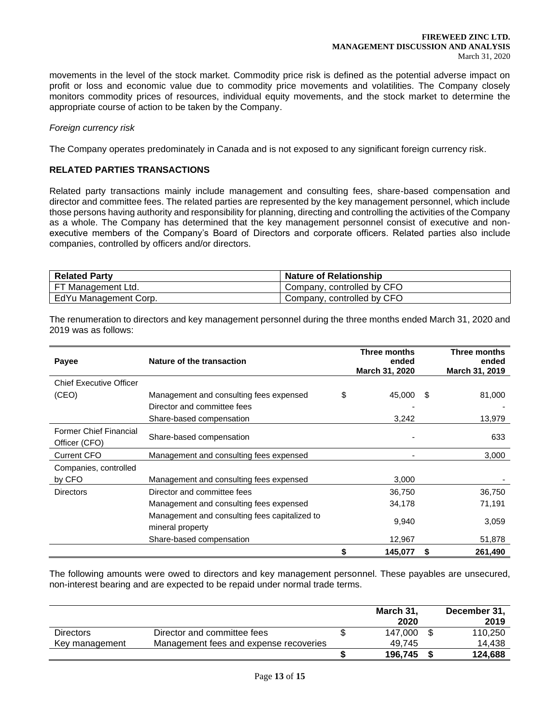#### **FIREWEED ZINC LTD. MANAGEMENT DISCUSSION AND ANALYSIS** March 31, 2020

movements in the level of the stock market. Commodity price risk is defined as the potential adverse impact on profit or loss and economic value due to commodity price movements and volatilities. The Company closely monitors commodity prices of resources, individual equity movements, and the stock market to determine the appropriate course of action to be taken by the Company.

## *Foreign currency risk*

The Company operates predominately in Canada and is not exposed to any significant foreign currency risk.

## **RELATED PARTIES TRANSACTIONS**

Related party transactions mainly include management and consulting fees, share-based compensation and director and committee fees. The related parties are represented by the key management personnel, which include those persons having authority and responsibility for planning, directing and controlling the activities of the Company as a whole. The Company has determined that the key management personnel consist of executive and nonexecutive members of the Company's Board of Directors and corporate officers. Related parties also include companies, controlled by officers and/or directors.

| <b>Related Party</b>  | <b>Nature of Relationship</b> |
|-----------------------|-------------------------------|
| FT Management Ltd.    | Company, controlled by CFO    |
| EdYu Management Corp. | Company, controlled by CFO    |

The renumeration to directors and key management personnel during the three months ended March 31, 2020 and 2019 was as follows:

| Payee                                          | Nature of the transaction                                         | Three months<br>ended<br>March 31, 2020 |      | Three months<br>ended<br>March 31, 2019 |
|------------------------------------------------|-------------------------------------------------------------------|-----------------------------------------|------|-----------------------------------------|
| <b>Chief Executive Officer</b>                 |                                                                   |                                         |      |                                         |
| (CEO)                                          | Management and consulting fees expensed                           | \$<br>45,000                            | - \$ | 81,000                                  |
|                                                | Director and committee fees                                       |                                         |      |                                         |
|                                                | Share-based compensation                                          | 3,242                                   |      | 13,979                                  |
| <b>Former Chief Financial</b><br>Officer (CFO) | Share-based compensation                                          |                                         |      | 633                                     |
| <b>Current CFO</b>                             | Management and consulting fees expensed                           |                                         |      | 3,000                                   |
| Companies, controlled                          |                                                                   |                                         |      |                                         |
| by CFO                                         | Management and consulting fees expensed                           | 3,000                                   |      |                                         |
| Directors                                      | Director and committee fees                                       | 36,750                                  |      | 36,750                                  |
|                                                | Management and consulting fees expensed                           | 34,178                                  |      | 71,191                                  |
|                                                | Management and consulting fees capitalized to<br>mineral property | 9,940                                   |      | 3,059                                   |
|                                                | Share-based compensation                                          | 12,967                                  |      | 51,878                                  |
|                                                |                                                                   | \$<br>145,077                           | S    | 261,490                                 |

The following amounts were owed to directors and key management personnel. These payables are unsecured, non-interest bearing and are expected to be repaid under normal trade terms.

|                  |                                        | March 31,<br>2020 |    | December 31,<br>2019 |
|------------------|----------------------------------------|-------------------|----|----------------------|
| <b>Directors</b> | Director and committee fees            | 147.000           | -S | 110,250              |
| Key management   | Management fees and expense recoveries | 49.745            |    | 14.438               |
|                  |                                        | 196.745           | Ð  | 124,688              |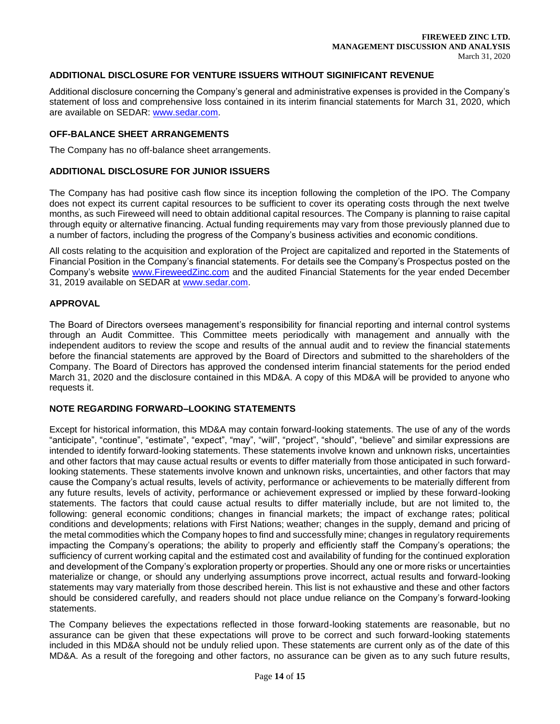## **ADDITIONAL DISCLOSURE FOR VENTURE ISSUERS WITHOUT SIGINIFICANT REVENUE**

Additional disclosure concerning the Company's general and administrative expenses is provided in the Company's statement of loss and comprehensive loss contained in its interim financial statements for March 31, 2020, which are available on SEDAR: [www.sedar.com.](about:blank)

#### **OFF-BALANCE SHEET ARRANGEMENTS**

The Company has no off-balance sheet arrangements.

## **ADDITIONAL DISCLOSURE FOR JUNIOR ISSUERS**

The Company has had positive cash flow since its inception following the completion of the IPO. The Company does not expect its current capital resources to be sufficient to cover its operating costs through the next twelve months, as such Fireweed will need to obtain additional capital resources. The Company is planning to raise capital through equity or alternative financing. Actual funding requirements may vary from those previously planned due to a number of factors, including the progress of the Company's business activities and economic conditions.

All costs relating to the acquisition and exploration of the Project are capitalized and reported in the Statements of Financial Position in the Company's financial statements. For details see the Company's Prospectus posted on the Company's website [www.FireweedZinc.com](about:blank) and the audited Financial Statements for the year ended December 31, 2019 available on SEDAR at [www.sedar.com.](about:blank)

## **APPROVAL**

The Board of Directors oversees management's responsibility for financial reporting and internal control systems through an Audit Committee. This Committee meets periodically with management and annually with the independent auditors to review the scope and results of the annual audit and to review the financial statements before the financial statements are approved by the Board of Directors and submitted to the shareholders of the Company. The Board of Directors has approved the condensed interim financial statements for the period ended March 31, 2020 and the disclosure contained in this MD&A. A copy of this MD&A will be provided to anyone who requests it.

## **NOTE REGARDING FORWARD–LOOKING STATEMENTS**

Except for historical information, this MD&A may contain forward-looking statements. The use of any of the words "anticipate", "continue", "estimate", "expect", "may", "will", "project", "should", "believe" and similar expressions are intended to identify forward-looking statements. These statements involve known and unknown risks, uncertainties and other factors that may cause actual results or events to differ materially from those anticipated in such forwardlooking statements. These statements involve known and unknown risks, uncertainties, and other factors that may cause the Company's actual results, levels of activity, performance or achievements to be materially different from any future results, levels of activity, performance or achievement expressed or implied by these forward-looking statements. The factors that could cause actual results to differ materially include, but are not limited to, the following: general economic conditions; changes in financial markets; the impact of exchange rates; political conditions and developments; relations with First Nations; weather; changes in the supply, demand and pricing of the metal commodities which the Company hopes to find and successfully mine; changes in regulatory requirements impacting the Company's operations; the ability to properly and efficiently staff the Company's operations; the sufficiency of current working capital and the estimated cost and availability of funding for the continued exploration and development of the Company's exploration property or properties. Should any one or more risks or uncertainties materialize or change, or should any underlying assumptions prove incorrect, actual results and forward-looking statements may vary materially from those described herein. This list is not exhaustive and these and other factors should be considered carefully, and readers should not place undue reliance on the Company's forward-looking statements.

The Company believes the expectations reflected in those forward-looking statements are reasonable, but no assurance can be given that these expectations will prove to be correct and such forward-looking statements included in this MD&A should not be unduly relied upon. These statements are current only as of the date of this MD&A. As a result of the foregoing and other factors, no assurance can be given as to any such future results,